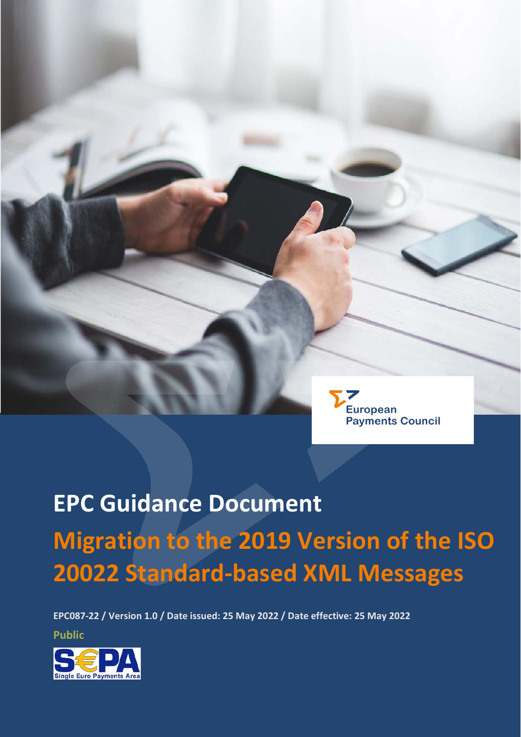

**EPC087-22 / Version 1.0 / Date issued: 25 May 2022 / Date effective: 25 May 2022**

**Public**

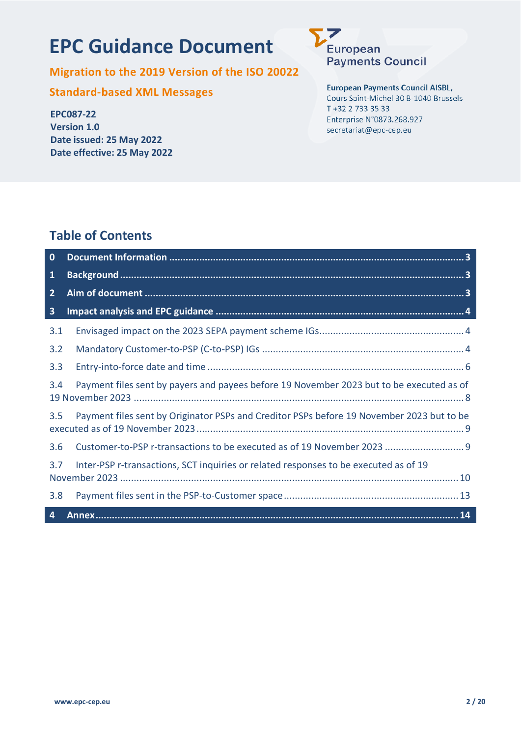## **EPC Guidance Document**



**Migration to the 2019 Version of the ISO 20022** 

**Standard-based XML Messages**

**EPC087-22 Version 1.0 Date issued: 25 May 2022 Date effective: 25 May 2022** **European Payments Council AISBL,** Cours Saint-Michel 30 B-1040 Brussels T +32 2 733 35 33 Enterprise N°0873.268.927 secretariat@epc-cep.eu

### **Table of Contents**

| $\bf{0}$                |                                                                                           |
|-------------------------|-------------------------------------------------------------------------------------------|
| $\mathbf{1}$            |                                                                                           |
| $\overline{2}$          |                                                                                           |
| $\overline{\mathbf{3}}$ |                                                                                           |
| 3.1                     |                                                                                           |
| 3.2                     |                                                                                           |
| 3.3                     |                                                                                           |
| 3.4                     | Payment files sent by payers and payees before 19 November 2023 but to be executed as of  |
| 3.5                     | Payment files sent by Originator PSPs and Creditor PSPs before 19 November 2023 but to be |
| 3.6                     |                                                                                           |
| 3.7                     | Inter-PSP r-transactions, SCT inquiries or related responses to be executed as of 19      |
| 3.8                     |                                                                                           |
| 4                       |                                                                                           |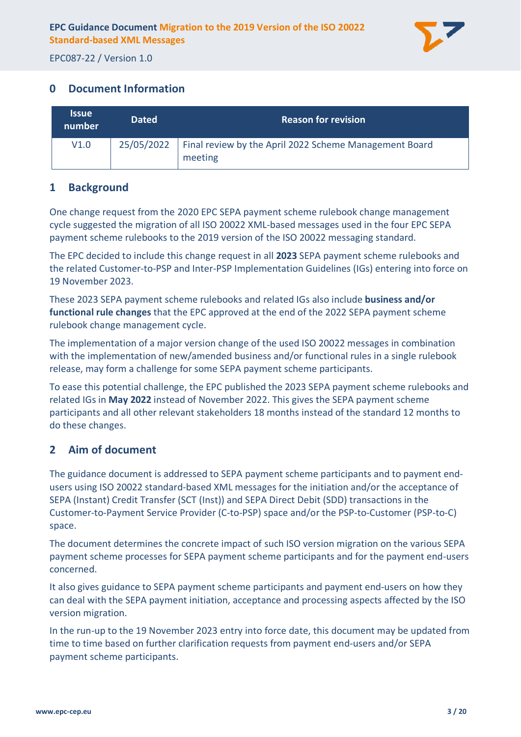

#### <span id="page-2-0"></span>**0 Document Information**

| <b>Issue</b><br>number | <b>Dated</b> | <b>Reason for revision</b>                                        |
|------------------------|--------------|-------------------------------------------------------------------|
| V1.0                   | 25/05/2022   | Final review by the April 2022 Scheme Management Board<br>meeting |

#### <span id="page-2-1"></span>**1 Background**

One change request from the 2020 EPC SEPA payment scheme rulebook change management cycle suggested the migration of all ISO 20022 XML-based messages used in the four EPC SEPA payment scheme rulebooks to the 2019 version of the ISO 20022 messaging standard.

The EPC decided to include this change request in all **2023** SEPA payment scheme rulebooks and the related Customer-to-PSP and Inter-PSP Implementation Guidelines (IGs) entering into force on 19 November 2023.

These 2023 SEPA payment scheme rulebooks and related IGs also include **business and/or functional rule changes** that the EPC approved at the end of the 2022 SEPA payment scheme rulebook change management cycle.

The implementation of a major version change of the used ISO 20022 messages in combination with the implementation of new/amended business and/or functional rules in a single rulebook release, may form a challenge for some SEPA payment scheme participants.

To ease this potential challenge, the EPC published the 2023 SEPA payment scheme rulebooks and related IGs in **May 2022** instead of November 2022. This gives the SEPA payment scheme participants and all other relevant stakeholders 18 months instead of the standard 12 months to do these changes.

#### <span id="page-2-2"></span>**2 Aim of document**

The guidance document is addressed to SEPA payment scheme participants and to payment endusers using ISO 20022 standard-based XML messages for the initiation and/or the acceptance of SEPA (Instant) Credit Transfer (SCT (Inst)) and SEPA Direct Debit (SDD) transactions in the Customer-to-Payment Service Provider (C-to-PSP) space and/or the PSP-to-Customer (PSP-to-C) space.

The document determines the concrete impact of such ISO version migration on the various SEPA payment scheme processes for SEPA payment scheme participants and for the payment end-users concerned.

It also gives guidance to SEPA payment scheme participants and payment end-users on how they can deal with the SEPA payment initiation, acceptance and processing aspects affected by the ISO version migration.

In the run-up to the 19 November 2023 entry into force date, this document may be updated from time to time based on further clarification requests from payment end-users and/or SEPA payment scheme participants.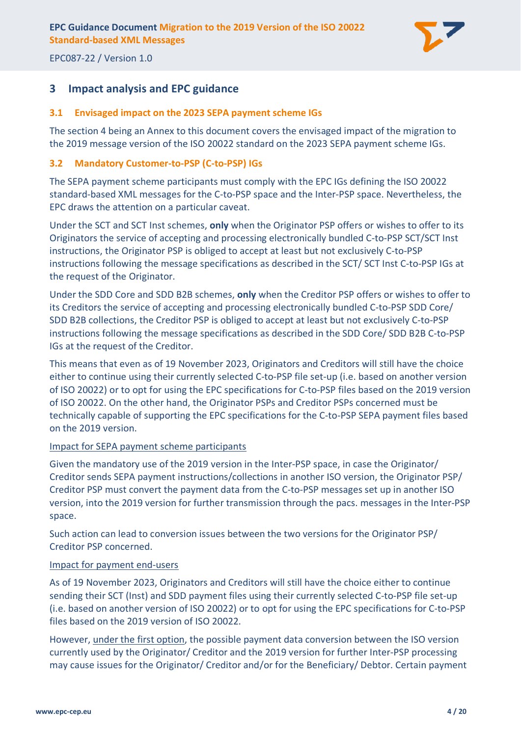

#### <span id="page-3-0"></span>**3 Impact analysis and EPC guidance**

#### <span id="page-3-1"></span>**3.1 Envisaged impact on the 2023 SEPA payment scheme IGs**

The section [4](#page-13-0) being an Annex to this document covers the envisaged impact of the migration to the 2019 message version of the ISO 20022 standard on the 2023 SEPA payment scheme IGs.

#### <span id="page-3-2"></span>**3.2 Mandatory Customer-to-PSP (C-to-PSP) IGs**

The SEPA payment scheme participants must comply with the EPC IGs defining the ISO 20022 standard-based XML messages for the C-to-PSP space and the Inter-PSP space. Nevertheless, the EPC draws the attention on a particular caveat.

Under the SCT and SCT Inst schemes, **only** when the Originator PSP offers or wishes to offer to its Originators the service of accepting and processing electronically bundled C-to-PSP SCT/SCT Inst instructions, the Originator PSP is obliged to accept at least but not exclusively C-to-PSP instructions following the message specifications as described in the SCT/ SCT Inst C-to-PSP IGs at the request of the Originator.

Under the SDD Core and SDD B2B schemes, **only** when the Creditor PSP offers or wishes to offer to its Creditors the service of accepting and processing electronically bundled C-to-PSP SDD Core/ SDD B2B collections, the Creditor PSP is obliged to accept at least but not exclusively C-to-PSP instructions following the message specifications as described in the SDD Core/ SDD B2B C-to-PSP IGs at the request of the Creditor.

This means that even as of 19 November 2023, Originators and Creditors will still have the choice either to continue using their currently selected C-to-PSP file set-up (i.e. based on another version of ISO 20022) or to opt for using the EPC specifications for C-to-PSP files based on the 2019 version of ISO 20022. On the other hand, the Originator PSPs and Creditor PSPs concerned must be technically capable of supporting the EPC specifications for the C-to-PSP SEPA payment files based on the 2019 version.

#### Impact for SEPA payment scheme participants

Given the mandatory use of the 2019 version in the Inter-PSP space, in case the Originator/ Creditor sends SEPA payment instructions/collections in another ISO version, the Originator PSP/ Creditor PSP must convert the payment data from the C-to-PSP messages set up in another ISO version, into the 2019 version for further transmission through the pacs. messages in the Inter-PSP space.

Such action can lead to conversion issues between the two versions for the Originator PSP/ Creditor PSP concerned.

#### Impact for payment end-users

As of 19 November 2023, Originators and Creditors will still have the choice either to continue sending their SCT (Inst) and SDD payment files using their currently selected C-to-PSP file set-up (i.e. based on another version of ISO 20022) or to opt for using the EPC specifications for C-to-PSP files based on the 2019 version of ISO 20022.

However, under the first option, the possible payment data conversion between the ISO version currently used by the Originator/ Creditor and the 2019 version for further Inter-PSP processing may cause issues for the Originator/ Creditor and/or for the Beneficiary/ Debtor. Certain payment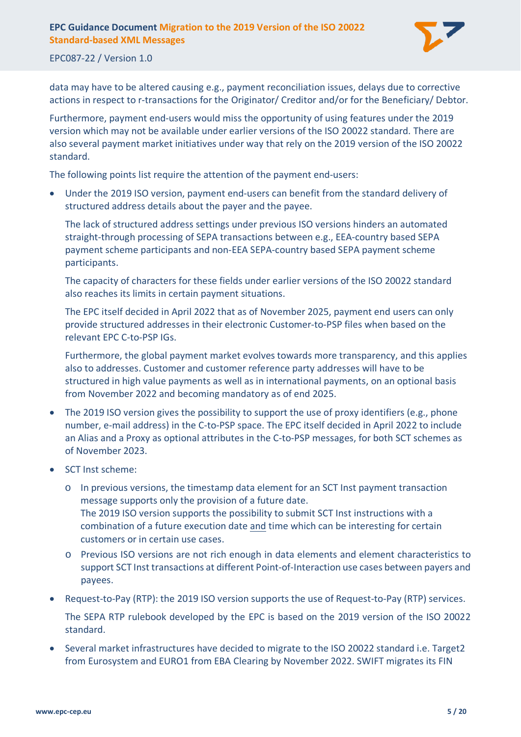

#### EPC087-22 / Version 1.0

data may have to be altered causing e.g., payment reconciliation issues, delays due to corrective actions in respect to r-transactions for the Originator/ Creditor and/or for the Beneficiary/ Debtor.

Furthermore, payment end-users would miss the opportunity of using features under the 2019 version which may not be available under earlier versions of the ISO 20022 standard. There are also several payment market initiatives under way that rely on the 2019 version of the ISO 20022 standard.

The following points list require the attention of the payment end-users:

• Under the 2019 ISO version, payment end-users can benefit from the standard delivery of structured address details about the payer and the payee.

The lack of structured address settings under previous ISO versions hinders an automated straight-through processing of SEPA transactions between e.g., EEA-country based SEPA payment scheme participants and non-EEA SEPA-country based SEPA payment scheme participants.

The capacity of characters for these fields under earlier versions of the ISO 20022 standard also reaches its limits in certain payment situations.

The EPC itself decided in April 2022 that as of November 2025, payment end users can only provide structured addresses in their electronic Customer-to-PSP files when based on the relevant EPC C-to-PSP IGs.

Furthermore, the global payment market evolves towards more transparency, and this applies also to addresses. Customer and customer reference party addresses will have to be structured in high value payments as well as in international payments, on an optional basis from November 2022 and becoming mandatory as of end 2025.

- The 2019 ISO version gives the possibility to support the use of proxy identifiers (e.g., phone number, e-mail address) in the C-to-PSP space. The EPC itself decided in April 2022 to include an Alias and a Proxy as optional attributes in the C-to-PSP messages, for both SCT schemes as of November 2023.
- SCT Inst scheme:
	- o In previous versions, the timestamp data element for an SCT Inst payment transaction message supports only the provision of a future date. The 2019 ISO version supports the possibility to submit SCT Inst instructions with a combination of a future execution date and time which can be interesting for certain customers or in certain use cases.
	- o Previous ISO versions are not rich enough in data elements and element characteristics to support SCT Inst transactions at different Point-of-Interaction use cases between payers and payees.
- Request-to-Pay (RTP): the 2019 ISO version supports the use of Request-to-Pay (RTP) services. The SEPA RTP rulebook developed by the EPC is based on the 2019 version of the ISO 20022 standard.
- Several market infrastructures have decided to migrate to the ISO 20022 standard i.e. Target2 from Eurosystem and EURO1 from EBA Clearing by November 2022. SWIFT migrates its FIN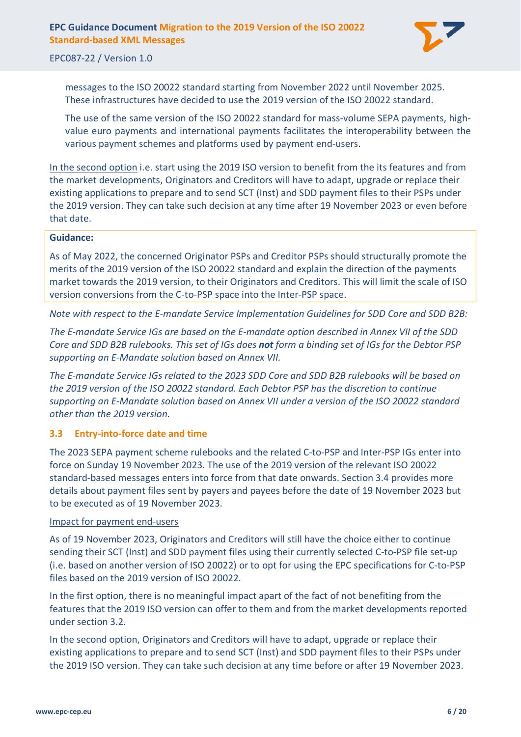

EPC087-22 / Version 1.0

messages to the ISO 20022 standard starting from November 2022 until November 2025. These infrastructures have decided to use the 2019 version of the ISO 20022 standard.

The use of the same version of the ISO 20022 standard for mass-volume SEPA payments, highvalue euro payments and international payments facilitates the interoperability between the various payment schemes and platforms used by payment end-users.

In the second option i.e. start using the 2019 ISO version to benefit from the its features and from the market developments, Originators and Creditors will have to adapt, upgrade or replace their existing applications to prepare and to send SCT (Inst) and SDD payment files to their PSPs under the 2019 version. They can take such decision at any time after 19 November 2023 or even before that date.

#### **Guidance:**

As of May 2022, the concerned Originator PSPs and Creditor PSPs should structurally promote the merits of the 2019 version of the ISO 20022 standard and explain the direction of the payments market towards the 2019 version, to their Originators and Creditors. This will limit the scale of ISO version conversions from the C-to-PSP space into the Inter-PSP space.

*Note with respect to the E-mandate Service Implementation Guidelines for SDD Core and SDD B2B:*

*The E-mandate Service IGs are based on the E-mandate option described in Annex VII of the SDD Core and SDD B2B rulebooks. This set of IGs does not form a binding set of IGs for the Debtor PSP supporting an E-Mandate solution based on Annex VII.*

*The E-mandate Service IGs related to the 2023 SDD Core and SDD B2B rulebooks will be based on the 2019 version of the ISO 20022 standard. Each Debtor PSP has the discretion to continue supporting an E-Mandate solution based on Annex VII under a version of the ISO 20022 standard other than the 2019 version.*

#### <span id="page-5-0"></span>**3.3 Entry-into-force date and time**

The 2023 SEPA payment scheme rulebooks and the related C-to-PSP and Inter-PSP IGs enter into force on Sunday 19 November 2023. The use of the 2019 version of the relevant ISO 20022 standard-based messages enters into force from that date onwards. Section [3.4](#page-7-0) provides more details about payment files sent by payers and payees before the date of 19 November 2023 but to be executed as of 19 November 2023.

#### Impact for payment end-users

As of 19 November 2023, Originators and Creditors will still have the choice either to continue sending their SCT (Inst) and SDD payment files using their currently selected C-to-PSP file set-up (i.e. based on another version of ISO 20022) or to opt for using the EPC specifications for C-to-PSP files based on the 2019 version of ISO 20022.

In the first option, there is no meaningful impact apart of the fact of not benefiting from the features that the 2019 ISO version can offer to them and from the market developments reported under section [3.2.](#page-3-2)

In the second option, Originators and Creditors will have to adapt, upgrade or replace their existing applications to prepare and to send SCT (Inst) and SDD payment files to their PSPs under the 2019 ISO version. They can take such decision at any time before or after 19 November 2023.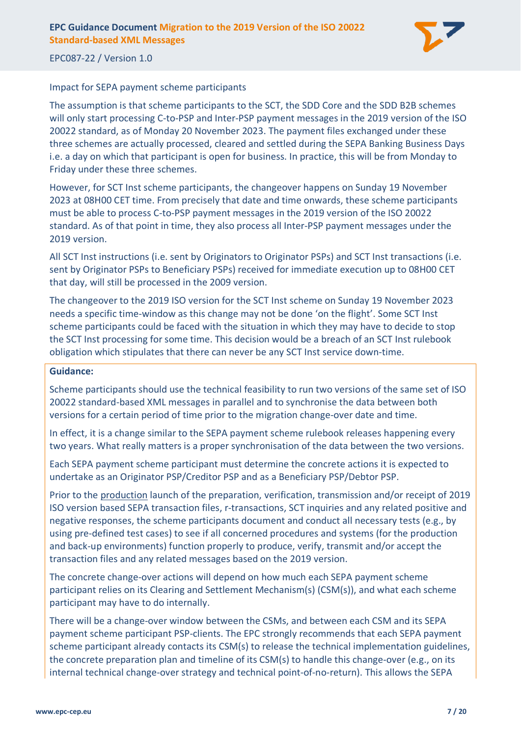

#### Impact for SEPA payment scheme participants

The assumption is that scheme participants to the SCT, the SDD Core and the SDD B2B schemes will only start processing C-to-PSP and Inter-PSP payment messages in the 2019 version of the ISO 20022 standard, as of Monday 20 November 2023. The payment files exchanged under these three schemes are actually processed, cleared and settled during the SEPA Banking Business Days i.e. a day on which that participant is open for business. In practice, this will be from Monday to Friday under these three schemes.

However, for SCT Inst scheme participants, the changeover happens on Sunday 19 November 2023 at 08H00 CET time. From precisely that date and time onwards, these scheme participants must be able to process C-to-PSP payment messages in the 2019 version of the ISO 20022 standard. As of that point in time, they also process all Inter-PSP payment messages under the 2019 version.

All SCT Inst instructions (i.e. sent by Originators to Originator PSPs) and SCT Inst transactions (i.e. sent by Originator PSPs to Beneficiary PSPs) received for immediate execution up to 08H00 CET that day, will still be processed in the 2009 version.

The changeover to the 2019 ISO version for the SCT Inst scheme on Sunday 19 November 2023 needs a specific time-window as this change may not be done 'on the flight'. Some SCT Inst scheme participants could be faced with the situation in which they may have to decide to stop the SCT Inst processing for some time. This decision would be a breach of an SCT Inst rulebook obligation which stipulates that there can never be any SCT Inst service down-time.

#### **Guidance:**

Scheme participants should use the technical feasibility to run two versions of the same set of ISO 20022 standard-based XML messages in parallel and to synchronise the data between both versions for a certain period of time prior to the migration change-over date and time.

In effect, it is a change similar to the SEPA payment scheme rulebook releases happening every two years. What really matters is a proper synchronisation of the data between the two versions.

Each SEPA payment scheme participant must determine the concrete actions it is expected to undertake as an Originator PSP/Creditor PSP and as a Beneficiary PSP/Debtor PSP.

Prior to the production launch of the preparation, verification, transmission and/or receipt of 2019 ISO version based SEPA transaction files, r-transactions, SCT inquiries and any related positive and negative responses, the scheme participants document and conduct all necessary tests (e.g., by using pre-defined test cases) to see if all concerned procedures and systems (for the production and back-up environments) function properly to produce, verify, transmit and/or accept the transaction files and any related messages based on the 2019 version.

The concrete change-over actions will depend on how much each SEPA payment scheme participant relies on its Clearing and Settlement Mechanism(s) (CSM(s)), and what each scheme participant may have to do internally.

There will be a change-over window between the CSMs, and between each CSM and its SEPA payment scheme participant PSP-clients. The EPC strongly recommends that each SEPA payment scheme participant already contacts its CSM(s) to release the technical implementation guidelines, the concrete preparation plan and timeline of its CSM(s) to handle this change-over (e.g., on its internal technical change-over strategy and technical point-of-no-return). This allows the SEPA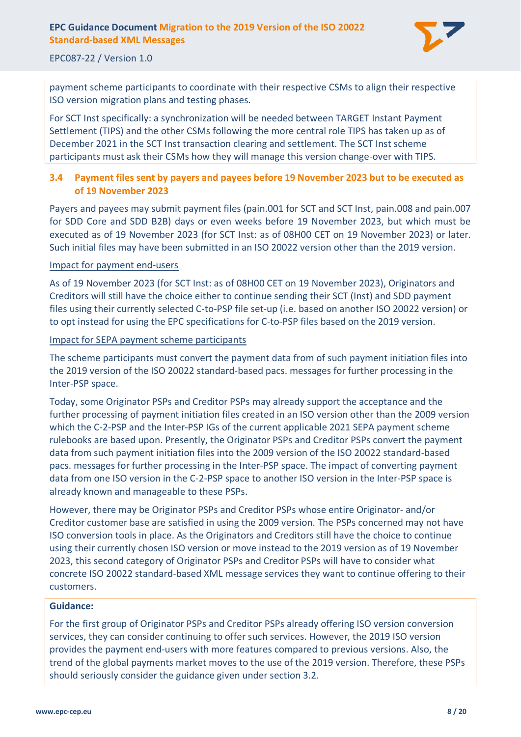

#### EPC087-22 / Version 1.0

payment scheme participants to coordinate with their respective CSMs to align their respective ISO version migration plans and testing phases.

For SCT Inst specifically: a synchronization will be needed between TARGET Instant Payment Settlement (TIPS) and the other CSMs following the more central role TIPS has taken up as of December 2021 in the SCT Inst transaction clearing and settlement. The SCT Inst scheme participants must ask their CSMs how they will manage this version change-over with TIPS.

#### <span id="page-7-0"></span>**3.4 Payment files sent by payers and payees before 19 November 2023 but to be executed as of 19 November 2023**

Payers and payees may submit payment files (pain.001 for SCT and SCT Inst, pain.008 and pain.007 for SDD Core and SDD B2B) days or even weeks before 19 November 2023, but which must be executed as of 19 November 2023 (for SCT Inst: as of 08H00 CET on 19 November 2023) or later. Such initial files may have been submitted in an ISO 20022 version other than the 2019 version.

#### Impact for payment end-users

As of 19 November 2023 (for SCT Inst: as of 08H00 CET on 19 November 2023), Originators and Creditors will still have the choice either to continue sending their SCT (Inst) and SDD payment files using their currently selected C-to-PSP file set-up (i.e. based on another ISO 20022 version) or to opt instead for using the EPC specifications for C-to-PSP files based on the 2019 version.

#### Impact for SEPA payment scheme participants

The scheme participants must convert the payment data from of such payment initiation files into the 2019 version of the ISO 20022 standard-based pacs. messages for further processing in the Inter-PSP space.

Today, some Originator PSPs and Creditor PSPs may already support the acceptance and the further processing of payment initiation files created in an ISO version other than the 2009 version which the C-2-PSP and the Inter-PSP IGs of the current applicable 2021 SEPA payment scheme rulebooks are based upon. Presently, the Originator PSPs and Creditor PSPs convert the payment data from such payment initiation files into the 2009 version of the ISO 20022 standard-based pacs. messages for further processing in the Inter-PSP space. The impact of converting payment data from one ISO version in the C-2-PSP space to another ISO version in the Inter-PSP space is already known and manageable to these PSPs.

However, there may be Originator PSPs and Creditor PSPs whose entire Originator- and/or Creditor customer base are satisfied in using the 2009 version. The PSPs concerned may not have ISO conversion tools in place. As the Originators and Creditors still have the choice to continue using their currently chosen ISO version or move instead to the 2019 version as of 19 November 2023, this second category of Originator PSPs and Creditor PSPs will have to consider what concrete ISO 20022 standard-based XML message services they want to continue offering to their customers.

#### **Guidance:**

For the first group of Originator PSPs and Creditor PSPs already offering ISO version conversion services, they can consider continuing to offer such services. However, the 2019 ISO version provides the payment end-users with more features compared to previous versions. Also, the trend of the global payments market moves to the use of the 2019 version. Therefore, these PSPs should seriously consider the guidance given under section [3.2.](#page-3-2)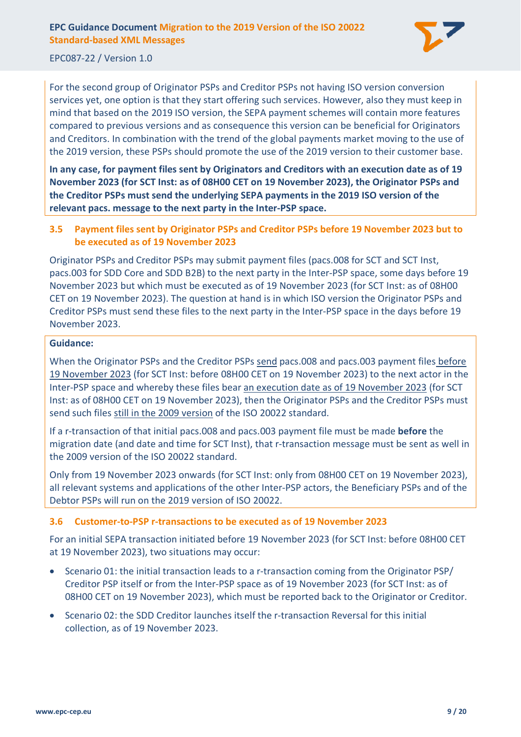

EPC087-22 / Version 1.0

For the second group of Originator PSPs and Creditor PSPs not having ISO version conversion services yet, one option is that they start offering such services. However, also they must keep in mind that based on the 2019 ISO version, the SEPA payment schemes will contain more features compared to previous versions and as consequence this version can be beneficial for Originators and Creditors. In combination with the trend of the global payments market moving to the use of the 2019 version, these PSPs should promote the use of the 2019 version to their customer base.

**In any case, for payment files sent by Originators and Creditors with an execution date as of 19 November 2023 (for SCT Inst: as of 08H00 CET on 19 November 2023), the Originator PSPs and the Creditor PSPs must send the underlying SEPA payments in the 2019 ISO version of the relevant pacs. message to the next party in the Inter-PSP space.**

#### <span id="page-8-0"></span>**3.5 Payment files sent by Originator PSPs and Creditor PSPs before 19 November 2023 but to be executed as of 19 November 2023**

Originator PSPs and Creditor PSPs may submit payment files (pacs.008 for SCT and SCT Inst, pacs.003 for SDD Core and SDD B2B) to the next party in the Inter-PSP space, some days before 19 November 2023 but which must be executed as of 19 November 2023 (for SCT Inst: as of 08H00 CET on 19 November 2023). The question at hand is in which ISO version the Originator PSPs and Creditor PSPs must send these files to the next party in the Inter-PSP space in the days before 19 November 2023.

#### **Guidance:**

When the Originator PSPs and the Creditor PSPs send pacs.008 and pacs.003 payment files before 19 November 2023 (for SCT Inst: before 08H00 CET on 19 November 2023) to the next actor in the Inter-PSP space and whereby these files bear an execution date as of 19 November 2023 (for SCT Inst: as of 08H00 CET on 19 November 2023), then the Originator PSPs and the Creditor PSPs must send such files still in the 2009 version of the ISO 20022 standard.

If a r-transaction of that initial pacs.008 and pacs.003 payment file must be made **before** the migration date (and date and time for SCT Inst), that r-transaction message must be sent as well in the 2009 version of the ISO 20022 standard.

Only from 19 November 2023 onwards (for SCT Inst: only from 08H00 CET on 19 November 2023), all relevant systems and applications of the other Inter-PSP actors, the Beneficiary PSPs and of the Debtor PSPs will run on the 2019 version of ISO 20022.

#### <span id="page-8-1"></span>**3.6 Customer-to-PSP r-transactions to be executed as of 19 November 2023**

For an initial SEPA transaction initiated before 19 November 2023 (for SCT Inst: before 08H00 CET at 19 November 2023), two situations may occur:

- Scenario 01: the initial transaction leads to a r-transaction coming from the Originator PSP/ Creditor PSP itself or from the Inter-PSP space as of 19 November 2023 (for SCT Inst: as of 08H00 CET on 19 November 2023), which must be reported back to the Originator or Creditor.
- Scenario 02: the SDD Creditor launches itself the r-transaction Reversal for this initial collection, as of 19 November 2023.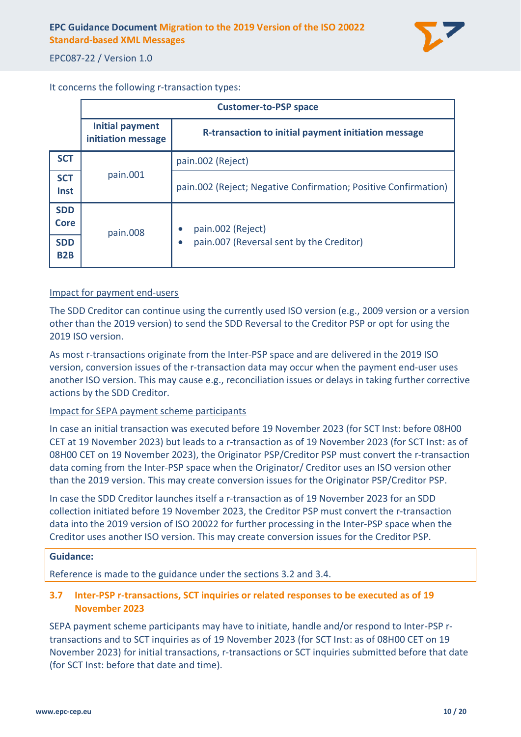

It concerns the following r-transaction types:

|                                | <b>Customer-to-PSP space</b>          |                                                                 |  |
|--------------------------------|---------------------------------------|-----------------------------------------------------------------|--|
|                                | Initial payment<br>initiation message | <b>R-transaction to initial payment initiation message</b>      |  |
| <b>SCT</b>                     | pain.001                              | pain.002 (Reject)                                               |  |
| <b>SCT</b><br>Inst             |                                       | pain.002 (Reject; Negative Confirmation; Positive Confirmation) |  |
| <b>SDD</b><br><b>Core</b>      | pain.008                              | pain.002 (Reject)                                               |  |
| <b>SDD</b><br>B <sub>2</sub> B |                                       | pain.007 (Reversal sent by the Creditor)                        |  |

#### Impact for payment end-users

The SDD Creditor can continue using the currently used ISO version (e.g., 2009 version or a version other than the 2019 version) to send the SDD Reversal to the Creditor PSP or opt for using the 2019 ISO version.

As most r-transactions originate from the Inter-PSP space and are delivered in the 2019 ISO version, conversion issues of the r-transaction data may occur when the payment end-user uses another ISO version. This may cause e.g., reconciliation issues or delays in taking further corrective actions by the SDD Creditor.

#### Impact for SEPA payment scheme participants

In case an initial transaction was executed before 19 November 2023 (for SCT Inst: before 08H00 CET at 19 November 2023) but leads to a r-transaction as of 19 November 2023 (for SCT Inst: as of 08H00 CET on 19 November 2023), the Originator PSP/Creditor PSP must convert the r-transaction data coming from the Inter-PSP space when the Originator/ Creditor uses an ISO version other than the 2019 version. This may create conversion issues for the Originator PSP/Creditor PSP.

In case the SDD Creditor launches itself a r-transaction as of 19 November 2023 for an SDD collection initiated before 19 November 2023, the Creditor PSP must convert the r-transaction data into the 2019 version of ISO 20022 for further processing in the Inter-PSP space when the Creditor uses another ISO version. This may create conversion issues for the Creditor PSP.

#### **Guidance:**

Reference is made to the guidance under the sections [3.2](#page-3-2) and [3.4.](#page-7-0)

#### <span id="page-9-0"></span>**3.7 Inter-PSP r-transactions, SCT inquiries or related responses to be executed as of 19 November 2023**

SEPA payment scheme participants may have to initiate, handle and/or respond to Inter-PSP rtransactions and to SCT inquiries as of 19 November 2023 (for SCT Inst: as of 08H00 CET on 19 November 2023) for initial transactions, r-transactions or SCT inquiries submitted before that date (for SCT Inst: before that date and time).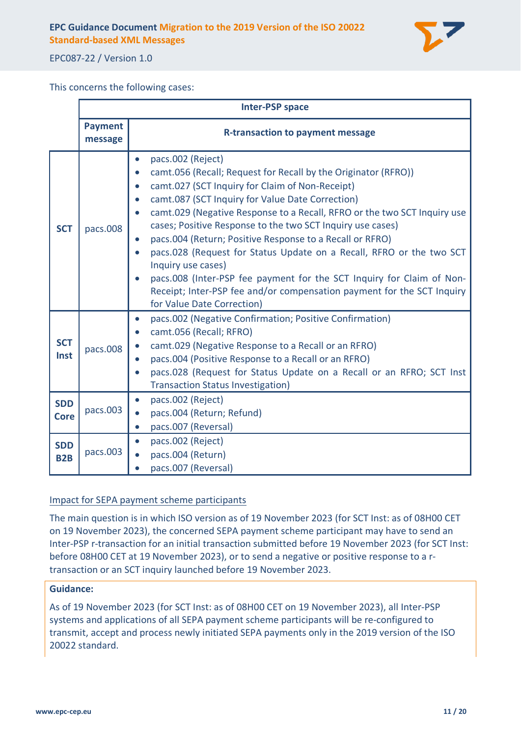

EPC087-22 / Version 1.0

This concerns the following cases:

|                                | <b>Inter-PSP space</b>    |                                                                                                                                                                                                                                                                                                                                                                                                                                                                                                                                                                                                                                                                                                                                                                                         |  |
|--------------------------------|---------------------------|-----------------------------------------------------------------------------------------------------------------------------------------------------------------------------------------------------------------------------------------------------------------------------------------------------------------------------------------------------------------------------------------------------------------------------------------------------------------------------------------------------------------------------------------------------------------------------------------------------------------------------------------------------------------------------------------------------------------------------------------------------------------------------------------|--|
|                                | <b>Payment</b><br>message | <b>R-transaction to payment message</b>                                                                                                                                                                                                                                                                                                                                                                                                                                                                                                                                                                                                                                                                                                                                                 |  |
| <b>SCT</b>                     | pacs.008                  | pacs.002 (Reject)<br>$\bullet$<br>camt.056 (Recall; Request for Recall by the Originator (RFRO))<br>$\bullet$<br>camt.027 (SCT Inquiry for Claim of Non-Receipt)<br>$\bullet$<br>camt.087 (SCT Inquiry for Value Date Correction)<br>$\bullet$<br>camt.029 (Negative Response to a Recall, RFRO or the two SCT Inquiry use<br>$\bullet$<br>cases; Positive Response to the two SCT Inquiry use cases)<br>pacs.004 (Return; Positive Response to a Recall or RFRO)<br>$\bullet$<br>pacs.028 (Request for Status Update on a Recall, RFRO or the two SCT<br>$\bullet$<br>Inquiry use cases)<br>pacs.008 (Inter-PSP fee payment for the SCT Inquiry for Claim of Non-<br>$\bullet$<br>Receipt; Inter-PSP fee and/or compensation payment for the SCT Inquiry<br>for Value Date Correction) |  |
| <b>SCT</b><br>Inst             | pacs.008                  | pacs.002 (Negative Confirmation; Positive Confirmation)<br>$\bullet$<br>camt.056 (Recall; RFRO)<br>$\bullet$<br>camt.029 (Negative Response to a Recall or an RFRO)<br>$\bullet$<br>pacs.004 (Positive Response to a Recall or an RFRO)<br>$\bullet$<br>pacs.028 (Request for Status Update on a Recall or an RFRO; SCT Inst<br><b>Transaction Status Investigation)</b>                                                                                                                                                                                                                                                                                                                                                                                                                |  |
| <b>SDD</b><br><b>Core</b>      | pacs.003                  | pacs.002 (Reject)<br>$\bullet$<br>pacs.004 (Return; Refund)<br>$\bullet$<br>pacs.007 (Reversal)<br>$\bullet$                                                                                                                                                                                                                                                                                                                                                                                                                                                                                                                                                                                                                                                                            |  |
| <b>SDD</b><br>B <sub>2</sub> B | pacs.003                  | pacs.002 (Reject)<br>$\bullet$<br>pacs.004 (Return)<br>$\bullet$<br>pacs.007 (Reversal)                                                                                                                                                                                                                                                                                                                                                                                                                                                                                                                                                                                                                                                                                                 |  |

#### Impact for SEPA payment scheme participants

The main question is in which ISO version as of 19 November 2023 (for SCT Inst: as of 08H00 CET on 19 November 2023), the concerned SEPA payment scheme participant may have to send an Inter-PSP r-transaction for an initial transaction submitted before 19 November 2023 (for SCT Inst: before 08H00 CET at 19 November 2023), or to send a negative or positive response to a rtransaction or an SCT inquiry launched before 19 November 2023.

#### **Guidance:**

As of 19 November 2023 (for SCT Inst: as of 08H00 CET on 19 November 2023), all Inter-PSP systems and applications of all SEPA payment scheme participants will be re-configured to transmit, accept and process newly initiated SEPA payments only in the 2019 version of the ISO 20022 standard.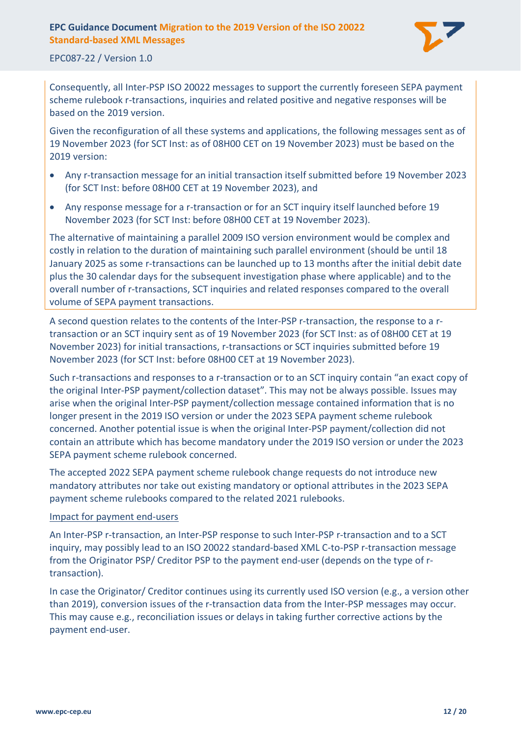

EPC087-22 / Version 1.0

Consequently, all Inter-PSP ISO 20022 messages to support the currently foreseen SEPA payment scheme rulebook r-transactions, inquiries and related positive and negative responses will be based on the 2019 version.

Given the reconfiguration of all these systems and applications, the following messages sent as of 19 November 2023 (for SCT Inst: as of 08H00 CET on 19 November 2023) must be based on the 2019 version:

- Any r-transaction message for an initial transaction itself submitted before 19 November 2023 (for SCT Inst: before 08H00 CET at 19 November 2023), and
- Any response message for a r-transaction or for an SCT inquiry itself launched before 19 November 2023 (for SCT Inst: before 08H00 CET at 19 November 2023).

The alternative of maintaining a parallel 2009 ISO version environment would be complex and costly in relation to the duration of maintaining such parallel environment (should be until 18 January 2025 as some r-transactions can be launched up to 13 months after the initial debit date plus the 30 calendar days for the subsequent investigation phase where applicable) and to the overall number of r-transactions, SCT inquiries and related responses compared to the overall volume of SEPA payment transactions.

A second question relates to the contents of the Inter-PSP r-transaction, the response to a rtransaction or an SCT inquiry sent as of 19 November 2023 (for SCT Inst: as of 08H00 CET at 19 November 2023) for initial transactions, r-transactions or SCT inquiries submitted before 19 November 2023 (for SCT Inst: before 08H00 CET at 19 November 2023).

Such r-transactions and responses to a r-transaction or to an SCT inquiry contain "an exact copy of the original Inter-PSP payment/collection dataset". This may not be always possible. Issues may arise when the original Inter-PSP payment/collection message contained information that is no longer present in the 2019 ISO version or under the 2023 SEPA payment scheme rulebook concerned. Another potential issue is when the original Inter-PSP payment/collection did not contain an attribute which has become mandatory under the 2019 ISO version or under the 2023 SEPA payment scheme rulebook concerned.

The accepted 2022 SEPA payment scheme rulebook change requests do not introduce new mandatory attributes nor take out existing mandatory or optional attributes in the 2023 SEPA payment scheme rulebooks compared to the related 2021 rulebooks.

#### Impact for payment end-users

An Inter-PSP r-transaction, an Inter-PSP response to such Inter-PSP r-transaction and to a SCT inquiry, may possibly lead to an ISO 20022 standard-based XML C-to-PSP r-transaction message from the Originator PSP/ Creditor PSP to the payment end-user (depends on the type of rtransaction).

In case the Originator/ Creditor continues using its currently used ISO version (e.g., a version other than 2019), conversion issues of the r-transaction data from the Inter-PSP messages may occur. This may cause e.g., reconciliation issues or delays in taking further corrective actions by the payment end-user.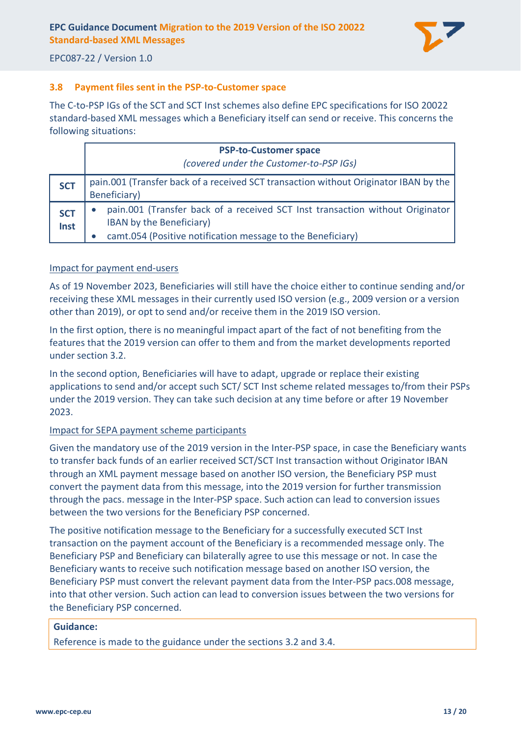

#### <span id="page-12-0"></span>**3.8 Payment files sent in the PSP-to-Customer space**

The C-to-PSP IGs of the SCT and SCT Inst schemes also define EPC specifications for ISO 20022 standard-based XML messages which a Beneficiary itself can send or receive. This concerns the following situations:

|                    | <b>PSP-to-Customer space</b><br>(covered under the Customer-to-PSP IGs)                                   |  |  |  |
|--------------------|-----------------------------------------------------------------------------------------------------------|--|--|--|
| <b>SCT</b>         | pain.001 (Transfer back of a received SCT transaction without Originator IBAN by the                      |  |  |  |
|                    | Beneficiary)                                                                                              |  |  |  |
| <b>SCT</b><br>Inst | pain.001 (Transfer back of a received SCT Inst transaction without Originator<br>IBAN by the Beneficiary) |  |  |  |
|                    | camt.054 (Positive notification message to the Beneficiary)                                               |  |  |  |

#### Impact for payment end-users

As of 19 November 2023, Beneficiaries will still have the choice either to continue sending and/or receiving these XML messages in their currently used ISO version (e.g., 2009 version or a version other than 2019), or opt to send and/or receive them in the 2019 ISO version.

In the first option, there is no meaningful impact apart of the fact of not benefiting from the features that the 2019 version can offer to them and from the market developments reported under section [3.2.](#page-3-2)

In the second option, Beneficiaries will have to adapt, upgrade or replace their existing applications to send and/or accept such SCT/ SCT Inst scheme related messages to/from their PSPs under the 2019 version. They can take such decision at any time before or after 19 November 2023.

#### Impact for SEPA payment scheme participants

Given the mandatory use of the 2019 version in the Inter-PSP space, in case the Beneficiary wants to transfer back funds of an earlier received SCT/SCT Inst transaction without Originator IBAN through an XML payment message based on another ISO version, the Beneficiary PSP must convert the payment data from this message, into the 2019 version for further transmission through the pacs. message in the Inter-PSP space. Such action can lead to conversion issues between the two versions for the Beneficiary PSP concerned.

The positive notification message to the Beneficiary for a successfully executed SCT Inst transaction on the payment account of the Beneficiary is a recommended message only. The Beneficiary PSP and Beneficiary can bilaterally agree to use this message or not. In case the Beneficiary wants to receive such notification message based on another ISO version, the Beneficiary PSP must convert the relevant payment data from the Inter-PSP pacs.008 message, into that other version. Such action can lead to conversion issues between the two versions for the Beneficiary PSP concerned.

#### **Guidance:**

Reference is made to the guidance under the sections [3.2](#page-3-2) and [3.4.](#page-7-0)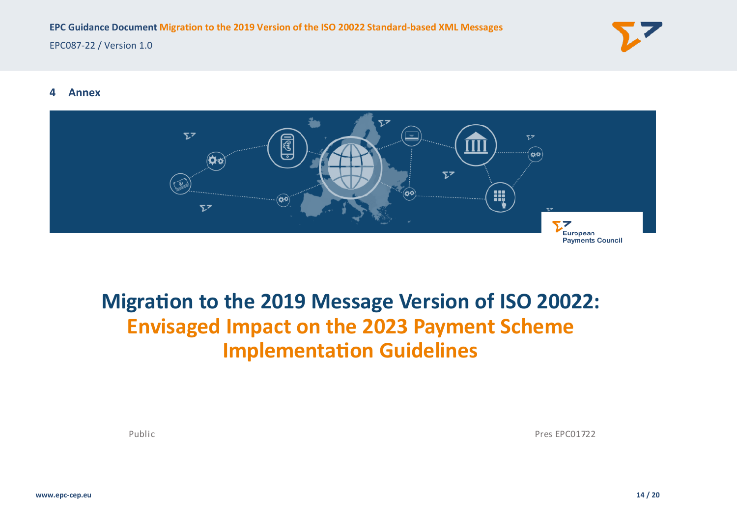

#### **4 Annex**



## <span id="page-13-0"></span>**Migration to the 2019 Message Version of ISO 20022: Envisaged Impact on the 2023 Payment Scheme Implementation Guidelines**

Public Pres EPC01722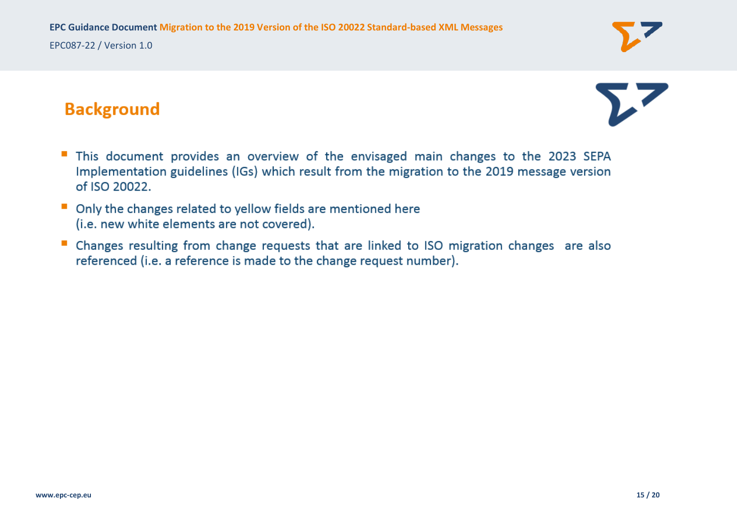

## **Background**

- This document provides an overview of the envisaged main changes to the 2023 SEPA ш Implementation guidelines (IGs) which result from the migration to the 2019 message version of ISO 20022.
- $\mathcal{L}_{\rm{eff}}$ Only the changes related to yellow fields are mentioned here (i.e. new white elements are not covered).
- Changes resulting from change requests that are linked to ISO migration changes are also **CONTRACTOR** referenced (i.e. a reference is made to the change request number).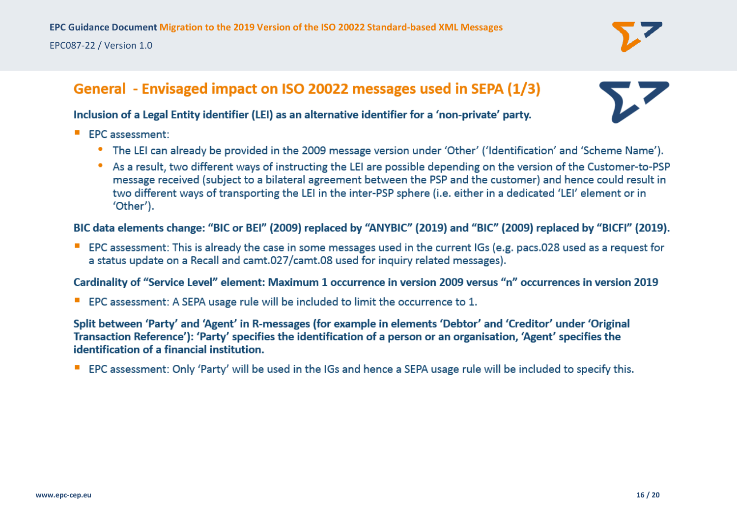

## General - Envisaged impact on ISO 20022 messages used in SEPA (1/3)

#### Inclusion of a Legal Entity identifier (LEI) as an alternative identifier for a 'non-private' party.

- EPC assessment:
	- The LEI can already be provided in the 2009 message version under 'Other' ('Identification' and 'Scheme Name').
	- As a result, two different ways of instructing the LEI are possible depending on the version of the Customer-to-PSP message received (subject to a bilateral agreement between the PSP and the customer) and hence could result in two different ways of transporting the LEI in the inter-PSP sphere (i.e. either in a dedicated 'LEI' element or in 'Other').

BIC data elements change: "BIC or BEI" (2009) replaced by "ANYBIC" (2019) and "BIC" (2009) replaced by "BICFI" (2019).

■ EPC assessment: This is already the case in some messages used in the current IGs (e.g. pacs.028 used as a request for a status update on a Recall and camt.027/camt.08 used for inquiry related messages).

#### Cardinality of "Service Level" element: Maximum 1 occurrence in version 2009 versus "n" occurrences in version 2019

■ EPC assessment: A SEPA usage rule will be included to limit the occurrence to 1.

Split between 'Party' and 'Agent' in R-messages (for example in elements 'Debtor' and 'Creditor' under 'Original Transaction Reference'): 'Party' specifies the identification of a person or an organisation, 'Agent' specifies the identification of a financial institution.

■ EPC assessment: Only 'Party' will be used in the IGs and hence a SEPA usage rule will be included to specify this.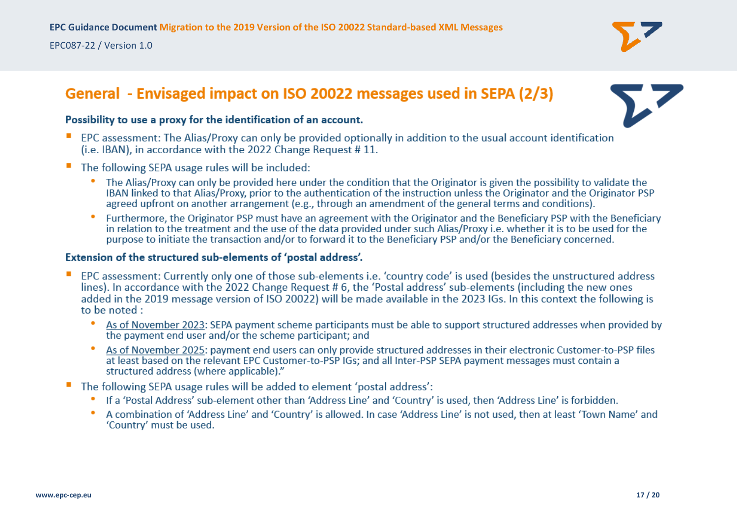## General - Envisaged impact on ISO 20022 messages used in SEPA (2/3)



#### Possibility to use a proxy for the identification of an account.

- EPC assessment: The Alias/Proxy can only be provided optionally in addition to the usual account identification (i.e. IBAN), in accordance with the 2022 Change Request #11.
- The following SEPA usage rules will be included:  $\mathcal{L}_{\mathcal{A}}$ 
	- The Alias/Proxy can only be provided here under the condition that the Originator is given the possibility to validate the IBAN linked to that Alias/Proxy, prior to the authentication of the instruction unless the Originator and the Originator PSP agreed upfront on another arrangement (e.g., through an amendment of the general terms and conditions).
	- Furthermore, the Originator PSP must have an agreement with the Originator and the Beneficiary PSP with the Beneficiary  $\bullet$ in relation to the treatment and the use of the data provided under such Alias/Proxy i.e. whether it is to be used for the purpose to initiate the transaction and/or to forward it to the Beneficiary PSP and/or the Beneficiary concerned.

#### Extension of the structured sub-elements of 'postal address'.

- EPC assessment: Currently only one of those sub-elements i.e. 'country code' is used (besides the unstructured address lines). In accordance with the 2022 Change Request #6, the 'Postal address' sub-elements (including the new ones added in the 2019 message version of ISO 20022) will be made available in the 2023 IGs. In this context the following is to be noted :
	- $\bullet$ As of November 2023: SEPA payment scheme participants must be able to support structured addresses when provided by the payment end user and/or the scheme participant; and
	- As of November 2025: payment end users can only provide structured addresses in their electronic Customer-to-PSP files at least based on the relevant EPC Customer-to-PSP IGs; and all Inter-PSP SEPA payment messages must contain a structured address (where applicable)."
- " The following SEPA usage rules will be added to element 'postal address':
	- If a 'Postal Address' sub-element other than 'Address Line' and 'Country' is used, then 'Address Line' is forbidden.
	- A combination of 'Address Line' and 'Country' is allowed. In case 'Address Line' is not used, then at least 'Town Name' and 'Country' must be used.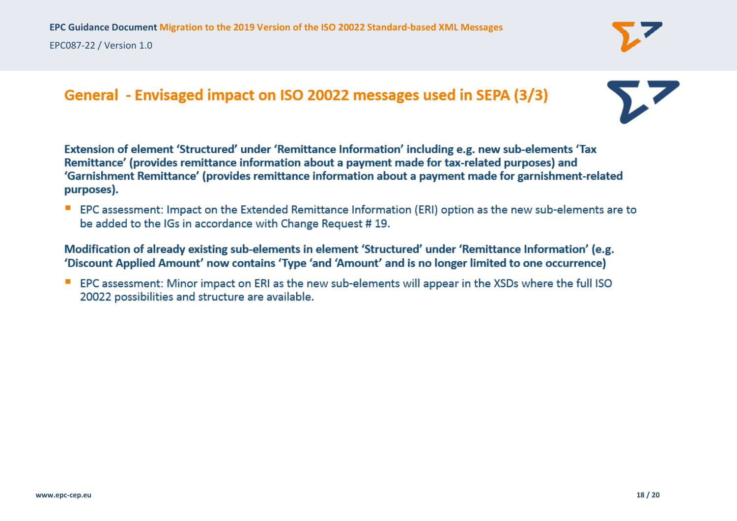### General - Envisaged impact on ISO 20022 messages used in SEPA (3/3)

Extension of element 'Structured' under 'Remittance Information' including e.g. new sub-elements 'Tax Remittance' (provides remittance information about a payment made for tax-related purposes) and 'Garnishment Remittance' (provides remittance information about a payment made for garnishment-related purposes).

EPC assessment: Impact on the Extended Remittance Information (ERI) option as the new sub-elements are to be added to the IGs in accordance with Change Request #19.

Modification of already existing sub-elements in element 'Structured' under 'Remittance Information' (e.g. 'Discount Applied Amount' now contains 'Type 'and 'Amount' and is no longer limited to one occurrence)

EPC assessment: Minor impact on ERI as the new sub-elements will appear in the XSDs where the full ISO 20022 possibilities and structure are available.

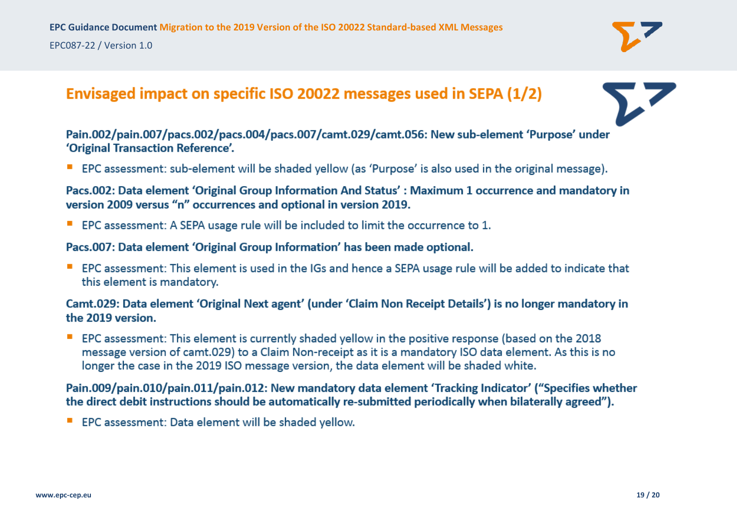## Envisaged impact on specific ISO 20022 messages used in SEPA (1/2)

Pain.002/pain.007/pacs.002/pacs.004/pacs.007/camt.029/camt.056: New sub-element 'Purpose' under 'Original Transaction Reference'.

**EPC** assessment: sub-element will be shaded yellow (as 'Purpose' is also used in the original message).

Pacs.002: Data element 'Original Group Information And Status': Maximum 1 occurrence and mandatory in version 2009 versus "n" occurrences and optional in version 2019.

■ EPC assessment: A SEPA usage rule will be included to limit the occurrence to 1.

Pacs.007: Data element 'Original Group Information' has been made optional.

**EPC** assessment: This element is used in the IGs and hence a SEPA usage rule will be added to indicate that this element is mandatory.

Camt.029: Data element 'Original Next agent' (under 'Claim Non Receipt Details') is no longer mandatory in the 2019 version.

EPC assessment: This element is currently shaded yellow in the positive response (based on the 2018 message version of camt.029) to a Claim Non-receipt as it is a mandatory ISO data element. As this is no longer the case in the 2019 ISO message version, the data element will be shaded white.

Pain.009/pain.010/pain.011/pain.012: New mandatory data element 'Tracking Indicator' ("Specifies whether the direct debit instructions should be automatically re-submitted periodically when bilaterally agreed").

**EPC** assessment: Data element will be shaded yellow.